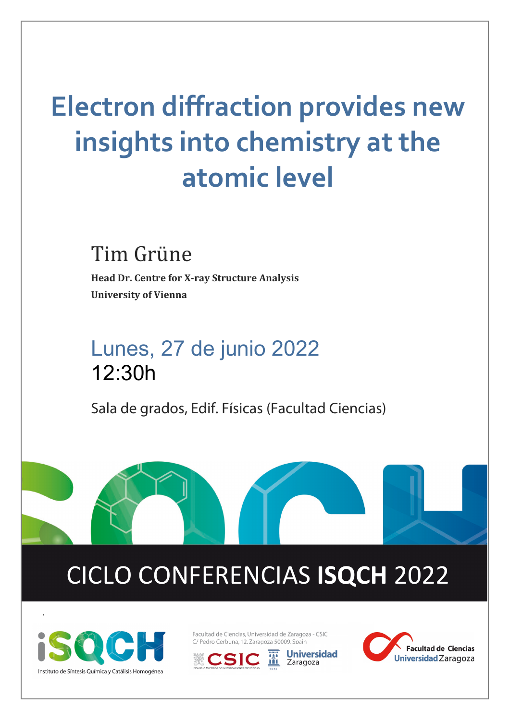# **Electron diffraction provides new insights into chemistry at the atomic level**

## Tim Grüne

**Head Dr. Centre for X-ray Structure Analysis University of Vienna**

## Lunes, 27 de junio 2022 12:30h

Sala de grados, Edif. Físicas (Facultad Ciencias)

# CICLO CONFERENCIAS **ISQCH** 2022



.

Facultad de Ciencias, Universidad de Zaragoza - CSIC C/ Pedro Cerbuna, 12, Zaragoza 50009, Spain